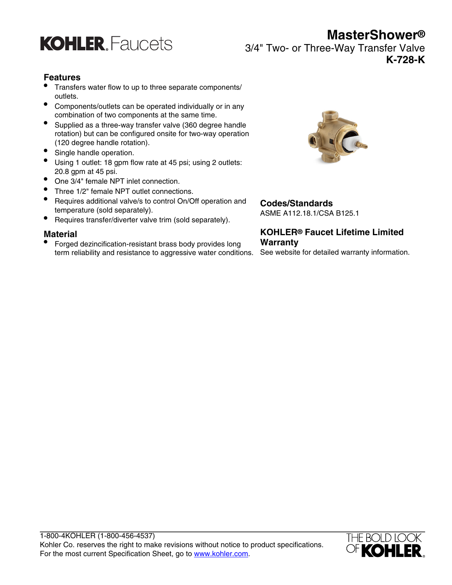

3/4" Two- or Three-Way Transfer Valve **K-728-K**

#### **Features**

- Transfers water flow to up to three separate components/ outlets.
- Components/outlets can be operated individually or in any combination of two components at the same time.
- Supplied as a three-way transfer valve (360 degree handle rotation) but can be configured onsite for two-way operation (120 degree handle rotation).
- Single handle operation.
- Using 1 outlet: 18 gpm flow rate at 45 psi; using 2 outlets: 20.8 gpm at 45 psi.
- One 3/4" female NPT inlet connection.

**KOHLER, Faucets** 

- Three 1/2" female NPT outlet connections.
- Requires additional valve/s to control On/Off operation and temperature (sold separately).
- Requires transfer/diverter valve trim (sold separately).

#### **Material**

• Forged dezincification-resistant brass body provides long term reliability and resistance to aggressive water conditions.



## **Codes/Standards**

ASME A112.18.1/CSA B125.1

### **KOHLER® Faucet Lifetime Limited Warranty**

See website for detailed warranty information.